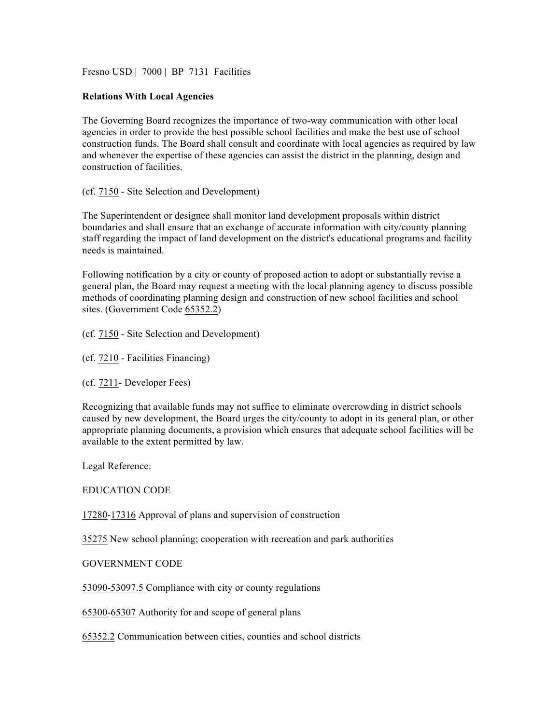Fresno USD | 7000 | BP 7131 Facilities

## **Relations With Local Agencies**

The Governing Board recognizes the importance of two-way communication with other local agencies in order to provide the best possible school facilities and make the best use of school construction funds. The Board shall consult and coordinate with local agencies as required by law and whenever the expertise of these agencies can assist the district in the planning, design and construction of facilities.

(cf. 7150 - Site Selection and Development)

The Superintendent or designee shall monitor land development proposals within district boundaries and shall ensure that an exchange of accurate information with city/county planning staff regarding the impact of land development on the district's educational programs and facility needs is maintained.

Following notification by a city or county of proposed action to adopt or substantially revise a general plan, the Board may request a meeting with the local planning agency to discuss possible methods of coordinating planning design and construction of new school facilities and school sites. (Government Code 65352.2)

(cf. 7150 - Site Selection and Development)

(cf. 7210 - Facilities Financing)

(cf. 7211- Developer Fees)

Recognizing that available funds may not suffice to eliminate overcrowding in district schools caused by new development, the Board urges the city/county to adopt in its general plan, or other appropriate planning documents, a provision which ensures that adequate school facilities will be available to the extent permitted by law.

Legal Reference:

EDUCATION CODE

17280-17316 Approval of plans and supervision of construction

35275 New school planning; cooperation with recreation and park authorities

GOVERNMENT CODE

53090-53097.5 Compliance with city or county regulations

65300-65307 Authority for and scope of general plans

65352.2 Communication between cities, counties and school districts